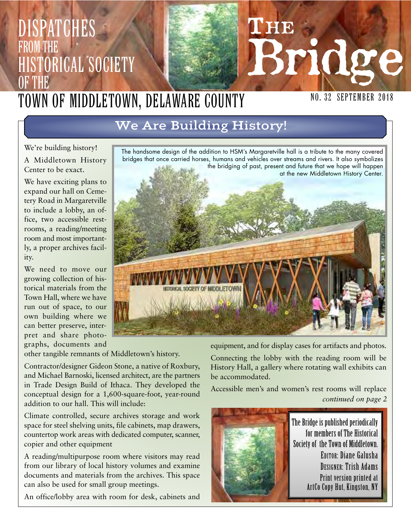# of the Town of Middletown, Delaware County

We're building history!

**DISPATCHES** 

Historical Society

from the

A Middletown History Center to be exact.

We have exciting plans to expand our hall on Cemetery Road in Margaretville to include a lobby, an office, two accessible restrooms, a reading/meeting room and most importantly, a proper archives facility.

We need to move our growing collection of historical materials from the Town Hall, where we have run out of space, to our own building where we can better preserve, interpret and share photographs, documents and

The handsome design of the addition to HSM's Margaretville hall is a tribute to the many covered bridges that once carried horses, humans and vehicles over streams and rivers. It also symbolizes the bridging of past, present and future that we hope will happen at the new Middletown History Center.

equipment, and for display cases for artifacts and photos.

Connecting the lobby with the reading room will be History Hall, a gallery where rotating wall exhibits can

*continued on page 2* Accessible men's and women's rest rooms will replace



other tangible remnants of Middletown's history.

Contractor/designer Gideon Stone, a native of Roxbury, and Michael Barnoski, licensed architect, are the partners in Trade Design Build of Ithaca. They developed the conceptual design for a 1,600-square-foot, year-round addition to our hall. This will include:

Climate controlled, secure archives storage and work space for steel shelving units, file cabinets, map drawers, countertop work areas with dedicated computer, scanner, copier and other equipment

A reading/multipurpose room where visitors may read from our library of local history volumes and examine documents and materials from the archives. This space can also be used for small group meetings.

An office/lobby area with room for desk, cabinets and





# We Are Building History!



# **THE** SPIG **NO. 32 SEPTEMBER 2018**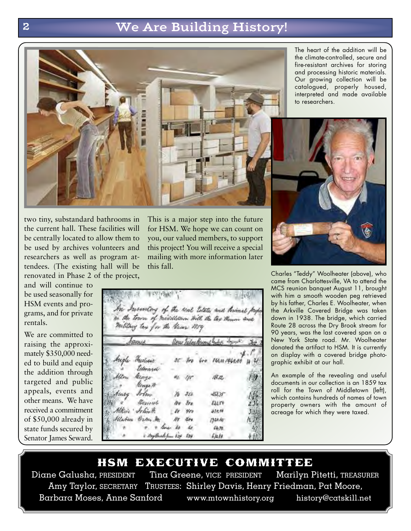## 2 We Are Building History!



The heart of the addition will be the climate-controlled, secure and fire-resistant archives for storing and processing historic materials. Our growing collection will be catalogued, properly housed, interpreted and made available to researchers.



and will continue to be used seasonally for HSM events and programs, and for private rentals.

We are committed to raising the approximately \$350,000 needed to build and equip the addition through targeted and public appeals, events and other means. We have received a commitment of \$50,000 already in state funds secured by Senator James Seward.

This is a major step into the future for HSM. We hope we can count on you, our valued members, to support this project! You will receive a special mailing with more information later this fall.

| agen hilas Record Solar Segue 30<br>$\pi$ tro tro resurgence is $u$<br>Frederico<br>Edward<br>Alton<br>as yr<br>lings<br>ill.st<br>伊<br>Morge 19<br>Aucy John<br>$10 - 252$<br>ぶけ<br>Designs<br>no tro<br>nun<br>se ver |                       |  | military tan for the bear 1959 |     |
|-------------------------------------------------------------------------------------------------------------------------------------------------------------------------------------------------------------------------|-----------------------|--|--------------------------------|-----|
|                                                                                                                                                                                                                         | Same                  |  |                                |     |
|                                                                                                                                                                                                                         | Augle                 |  |                                |     |
|                                                                                                                                                                                                                         |                       |  |                                |     |
|                                                                                                                                                                                                                         |                       |  |                                |     |
|                                                                                                                                                                                                                         |                       |  |                                | 136 |
|                                                                                                                                                                                                                         |                       |  |                                | 234 |
|                                                                                                                                                                                                                         | Alkin John H.         |  | 434.86                         | 131 |
| lis 400.<br>1920-str<br>化县                                                                                                                                                                                              |                       |  | 领距                             |     |
| Allaber Orten M.<br>$48 - 48$                                                                                                                                                                                           | my Brook from 624 624 |  | fall                           | ŧП  |



Charles "Teddy" Woolheater (above), who came from Charlottesville, VA to attend the MCS reunion banquet August 11, brought with him a smooth wooden peg retrieved by his father, Charles E. Woolheater, when the Arkville Covered Bridge was taken down in 1938. The bridge, which carried Route 28 across the Dry Brook stream for 90 years, was the last covered span on a New York State road. Mr. Woolheater donated the artifact to HSM. It is currently on display with a covered bridge photographic exhibit at our hall.

An example of the revealing and useful documents in our collection is an 1859 tax roll for the Town of Middletown (left), which contains hundreds of names of town property owners with the amount of acreage for which they were taxed.

**HSM EXECUTIVE COMMITTEE**<br>Diane Galusha, PRESIDENT Tina Greene, VICE PRESIDENT Marilyn Pitetti, TREASURER Tina Greene, VICE PRESIDENT Amy Taylor, SECRETARY TRUSTEES: Shirley Davis, Henry Friedman, Pat Moore, Barbara Moses, Anne Sanford www.mtownhistory.org history@catskill.net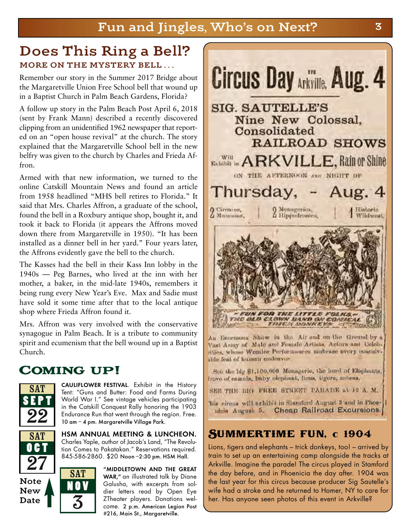### Does This Ring a Bell? MORE ON THE MYSTERY BELL...

Remember our story in the Summer 2017 Bridge about the Margaretville Union Free School bell that wound up in a Baptist Church in Palm Beach Gardens, Florida?

A follow up story in the Palm Beach Post April 6, 2018 (sent by Frank Mann) described a recently discovered clipping from an unidentified 1962 newspaper that reported on an "open house revival" at the church. The story explained that the Margaretville School bell in the new belfry was given to the church by Charles and Frieda Affron.

Armed with that new information, we turned to the online Catskill Mountain News and found an article from 1958 headlined "MHS bell retires to Florida." It said that Mrs. Charles Affron, a graduate of the school, found the bell in a Roxbury antique shop, bought it, and took it back to Florida (it appears the Affrons moved down there from Margaretville in 1950). "It has been installed as a dinner bell in her yard." Four years later, the Affrons evidently gave the bell to the church.

The Kasses had the bell in their Kass Inn lobby in the 1940s — Peg Barnes, who lived at the inn with her mother, a baker, in the mid-late 1940s, remembers it being rung every New Year's Eve. Max and Sadie must have sold it some time after that to the local antique shop where Frieda Affron found it.

Mrs. Affron was very involved with the conservative synagogue in Palm Beach. It is a tribute to community spirit and ecumenism that the bell wound up in a Baptist Church.

# Coming up!



SAT **OC T** 

27

Note New Date

CAULIFLOWER FESTIVAL. Exhibit in the History Tent: "Guns and Butter: Food and Farms During World War I." See vintage vehicles participating in the Catskill Conquest Rally honoring the 1903 Endurance Run that went through the region. Free. 10 am – 4 pm. Margaretville Village Park.

HSM ANNUAL MEETING & LUNCHEON. Charles Yaple, author of Jacob's Land, "The Revolution Comes to Pakatakan." Reservations required. 845-586-2860. \$20 Noon –2:30 pm. HSM Hall.







An Enormous Show in the Air and on the Ground by a Vast Army of Male and Founde Artists, Actors and Colchrities, whose Wonder Performances embrace every conceivable feat of human ondeavor.

See the big \$1,100,000 Meangerie, the herd of Elephants, frove of eamels, baby elephant, lions, tigers, zabras,

SEE THE BIG FREE STREET PARADE at 10 A. M.

his eiresa will exhibit in Stamford August 3 and in Phoenicia August 5. Cheap Railroad Excursions.

#### Summertime fun, c 1904

Lions, tigers and elephants – trick donkeys, too! – arrived by train to set up an entertaining camp alongside the tracks at Arkville. Imagine the parade! The circus played in Stamford the day before, and in Phoenicia the day after. 1904 was the last year for this circus because producer Sig Sautelle's wife had a stroke and he returned to Homer, NY to care for her. Has anyone seen photos of this event in Arkville?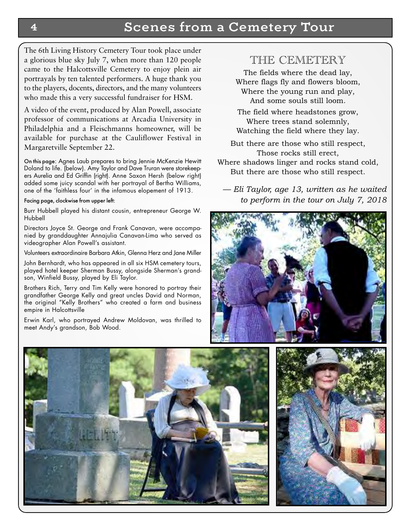#### 4 Scenes from a Cemetery Tour

The 6th Living History Cemetery Tour took place under a glorious blue sky July 7, when more than 120 people came to the Halcottsville Cemetery to enjoy plein air portrayals by ten talented performers. A huge thank you to the players, docents, directors, and the many volunteers who made this a very successful fundraiser for HSM.

A video of the event, produced by Alan Powell, associate professor of communications at Arcadia University in Philadelphia and a Fleischmanns homeowner, will be available for purchase at the Cauliflower Festival in Margaretville September 22.

On this page: Agnes Laub prepares to bring Jennie McKenzie Hewitt Doland to life. (below). Amy Taylor and Dave Truran were storekeepers Aurelia and Ed Griffin (right). Anne Saxon Hersh (below right) added some juicy scandal with her portrayal of Bertha Williams, one of the 'faithless four' in the infamous elopement of 1913.

Facing page, clockwise from upper left:

Burr Hubbell played his distant cousin, entrepreneur George W. Hubbell

Directors Joyce St. George and Frank Canavan, were accompanied by granddaughter Annajulia Canavan-Lima who served as videographer Alan Powell's assistant.

Volunteers extraordinaire Barbara Atkin, Glenna Herz and Jane Miller

John Bernhardt, who has appeared in all six HSM cemetery tours, played hotel keeper Sherman Bussy, alongside Sherman's grandson, Winfield Bussy, played by Eli Taylor.

Brothers Rich, Terry and Tim Kelly were honored to portray their grandfather George Kelly and great uncles David and Norman, the original "Kelly Brothers" who created a farm and business empire in Halcottsville

Erwin Karl, who portrayed Andrew Moldovan, was thrilled to meet Andy's grandson, Bob Wood.

#### THE CEMETERY

The fields where the dead lay, Where flags fly and flowers bloom, Where the young run and play, And some souls still loom.

The field where headstones grow, Where trees stand solemnly, Watching the field where they lay.

But there are those who still respect, Those rocks still erect,

Where shadows linger and rocks stand cold, But there are those who still respect.

*— Eli Taylor, age 13, written as he waited to perform in the tour on July 7, 2018*





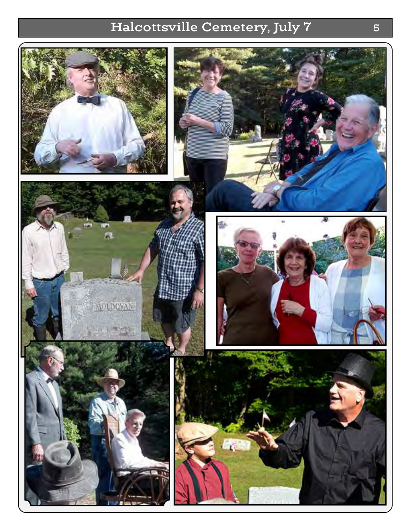# Halcottsville Cemetery, July 7 5

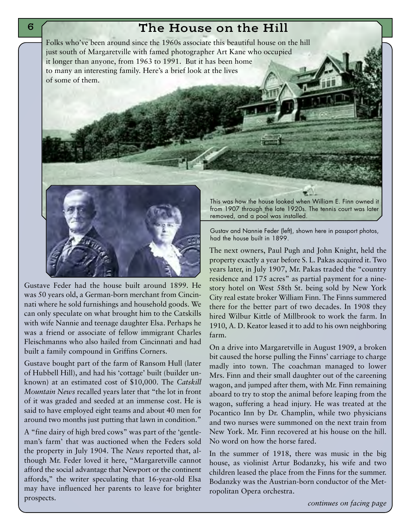#### The House on the Hill

Folks who've been around since the 1960s associate this beautiful house on the hill just south of Margaretville with famed photographer Art Kane who occupied it longer than anyone, from 1963 to 1991. But it has been home to many an interesting family. Here's a brief look at the lives of some of them.



Gustave Feder had the house built around 1899. He was 50 years old, a German-born merchant from Cincinnati where he sold furnishings and household goods. We can only speculate on what brought him to the Catskills with wife Nannie and teenage daughter Elsa. Perhaps he was a friend or associate of fellow immigrant Charles Fleischmanns who also hailed from Cincinnati and had built a family compound in Griffins Corners.

Gustave bought part of the farm of Ransom Hull (later of Hubbell Hill), and had his 'cottage' built (builder unknown) at an estimated cost of \$10,000. The *Catskill Mountain News* recalled years later that "the lot in front of it was graded and seeded at an immense cost. He is said to have employed eight teams and about 40 men for around two months just putting that lawn in condition."

A "fine dairy of high bred cows" was part of the 'gentleman's farm' that was auctioned when the Feders sold the property in July 1904. The *News* reported that, although Mr. Feder loved it here, "Margaretville cannot afford the social advantage that Newport or the continent affords," the writer speculating that 16-year-old Elsa may have influenced her parents to leave for brighter prospects.

This was how the house looked when William E. Finn owned it from 1907 through the late 1920s. The tennis court was later removed, and a pool was installed.

Gustav and Nannie Feder (left), shown here in passport photos, had the house built in 1899.

The next owners, Paul Pugh and John Knight, held the property exactly a year before S. L. Pakas acquired it. Two years later, in July 1907, Mr. Pakas traded the "country residence and 175 acres" as partial payment for a ninestory hotel on West 58th St. being sold by New York City real estate broker William Finn. The Finns summered there for the better part of two decades. In 1908 they hired Wilbur Kittle of Millbrook to work the farm. In 1910, A. D. Keator leased it to add to his own neighboring farm.

On a drive into Margaretville in August 1909, a broken bit caused the horse pulling the Finns' carriage to charge madly into town. The coachman managed to lower Mrs. Finn and their small daughter out of the careening wagon, and jumped after them, with Mr. Finn remaining aboard to try to stop the animal before leaping from the wagon, suffering a head injury. He was treated at the Pocantico Inn by Dr. Champlin, while two physicians and two nurses were summoned on the next train from New York. Mr. Finn recovered at his house on the hill. No word on how the horse fared.

In the summer of 1918, there was music in the big house, as violinist Artur Bodanzky, his wife and two children leased the place from the Finns for the summer. Bodanzky was the Austrian-born conductor of the Metropolitan Opera orchestra.

6

*continues on facing page*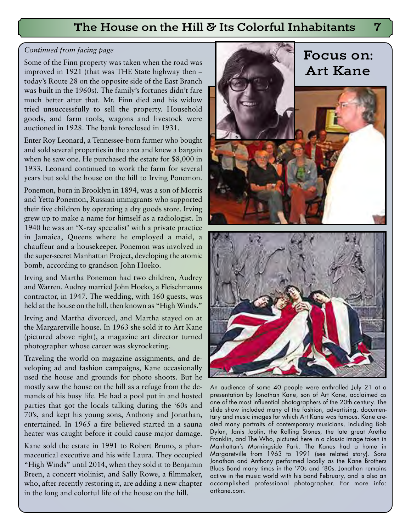#### The House on the Hill & Its Colorful Inhabitants

#### *Continued from facing page*

Some of the Finn property was taken when the road was improved in 1921 (that was THE State highway then – today's Route 28 on the opposite side of the East Branch was built in the 1960s). The family's fortunes didn't fare much better after that. Mr. Finn died and his widow tried unsuccessfully to sell the property. Household goods, and farm tools, wagons and livestock were auctioned in 1928. The bank foreclosed in 1931.

Enter Roy Leonard, a Tennessee-born farmer who bought and sold several properties in the area and knew a bargain when he saw one. He purchased the estate for \$8,000 in 1933. Leonard continued to work the farm for several years but sold the house on the hill to Irving Ponemon.

Ponemon, born in Brooklyn in 1894, was a son of Morris and Yetta Ponemon, Russian immigrants who supported their five children by operating a dry goods store. Irving grew up to make a name for himself as a radiologist. In 1940 he was an 'X-ray specialist' with a private practice in Jamaica, Queens where he employed a maid, a chauffeur and a housekeeper. Ponemon was involved in the super-secret Manhattan Project, developing the atomic bomb, according to grandson John Hoeko.

Irving and Martha Ponemon had two children, Audrey and Warren. Audrey married John Hoeko, a Fleischmanns contractor, in 1947. The wedding, with 160 guests, was held at the house on the hill, then known as "High Winds."

Irving and Martha divorced, and Martha stayed on at the Margaretville house. In 1963 she sold it to Art Kane (pictured above right), a magazine art director turned photographer whose career was skyrocketing.

Traveling the world on magazine assignments, and developing ad and fashion campaigns, Kane occasionally used the house and grounds for photo shoots. But he mostly saw the house on the hill as a refuge from the demands of his busy life. He had a pool put in and hosted parties that got the locals talking during the '60s and 70's, and kept his young sons, Anthony and Jonathan, entertained. In 1965 a fire believed started in a sauna heater was caught before it could cause major damage.

Kane sold the estate in 1991 to Robert Bruno, a pharmaceutical executive and his wife Laura. They occupied "High Winds" until 2014, when they sold it to Benjamin Breen, a concert violinist, and Sally Rowe, a filmmaker, who, after recently restoring it, are adding a new chapter in the long and colorful life of the house on the hill.



An audience of some 40 people were enthralled July 21 at a presentation by Jonathan Kane, son of Art Kane, acclaimed as one of the most influential photographers of the 20th century. The slide show included many of the fashion, advertising, documentary and music images for which Art Kane was famous. Kane created many portraits of contemporary musicians, including Bob Dylan, Janis Joplin, the Rolling Stones, the late great Aretha Franklin, and The Who, pictured here in a classic image taken in Manhattan's Morningside Park. The Kanes had a home in Margaretville from 1963 to 1991 (see related story). Sons Jonathan and Anthony performed locally as the Kane Brothers Blues Band many times in the '70s and '80s. Jonathan remains active in the music world with his band February, and is also an accomplished professional photographer. For more info: artkane.com.